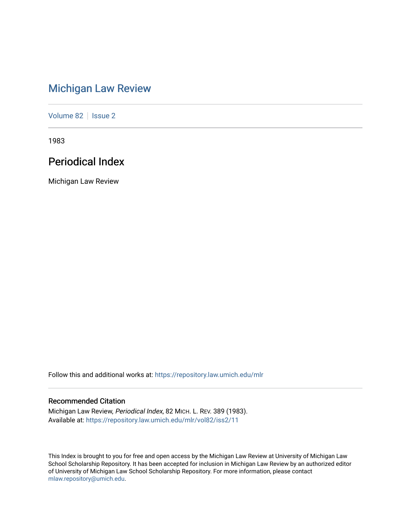# [Michigan Law Review](https://repository.law.umich.edu/mlr)

[Volume 82](https://repository.law.umich.edu/mlr/vol82) | [Issue 2](https://repository.law.umich.edu/mlr/vol82/iss2)

1983

# Periodical Index

Michigan Law Review

Follow this and additional works at: [https://repository.law.umich.edu/mlr](https://repository.law.umich.edu/mlr?utm_source=repository.law.umich.edu%2Fmlr%2Fvol82%2Fiss2%2F11&utm_medium=PDF&utm_campaign=PDFCoverPages) 

## Recommended Citation

Michigan Law Review, Periodical Index, 82 MICH. L. REV. 389 (1983). Available at: [https://repository.law.umich.edu/mlr/vol82/iss2/11](https://repository.law.umich.edu/mlr/vol82/iss2/11?utm_source=repository.law.umich.edu%2Fmlr%2Fvol82%2Fiss2%2F11&utm_medium=PDF&utm_campaign=PDFCoverPages) 

This Index is brought to you for free and open access by the Michigan Law Review at University of Michigan Law School Scholarship Repository. It has been accepted for inclusion in Michigan Law Review by an authorized editor of University of Michigan Law School Scholarship Repository. For more information, please contact [mlaw.repository@umich.edu.](mailto:mlaw.repository@umich.edu)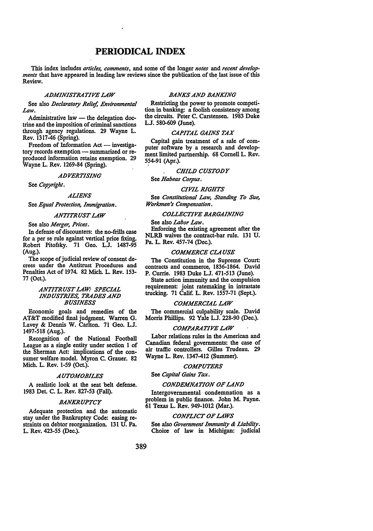## **PERIODICAL INDEX**

This index includes *articles, comments,* and some of the longer *notes* and *recent developments* that have appeared in leading law reviews since the publication of the last issue of this Review. **Review.** *Review.* 

#### *ADMINISTRATIVE LAW*

See also *Declaratory Relief, Environmental Law.* .

Administrative law  $-$  the delegation doctrine and the imposition of criminal sanctions through agency regulations. 29 Wayne L. Rev. 1317-46 (Spring).

Freedom of Information Act - investigatory records exemption - summarized or reproduced information retains exemption. 29 Wayne L. Rev. 1269-84 (Spring).

#### *ADVERTISING*

See *Copyright.* 

## *ALIENS*

See *Equal Protection, Immigration.* 

#### *ANTITRUST LAW*

See also *Merger, Prices.* 

In defense of discounters: the no-frills case for a per se rule against vertical price fixing. Robert Pitofsky. 71 Geo. LJ. 1487-95 (Aug.). .

The scope of judicial review of consent decrees under the Antitrust Procedures and Penalties Act of 1974. 82 Mich. L. **Rev.** 153- 77 (Oct.).

## *ANTITRUST LAW: SPECIAL INDUSTRIES, TRADES AND BUSINESS*

Economic goals and remedies of the AT&T modified final judgment. Warren G. Lavey & Dennis W. Carlton. 71 Geo. LJ. 1497-518 (Aug.).

Recognition of the National Football League as a single entity under section I of the Sherman Act: implications of the consumer welfare model. Myron C. Grauer. 82 Mich. L. Rev. 1-59 (Oct.).

#### *AUTOMOBILES*

A realistic look at the seat belt defense. 1983 Det. C. L. Rev. 827-53 (Fall).

#### *BANKRUPTCY*

Adequate protection and the automatic stay under the Bankruptcy Code: easing restraints on debtor reorganization. 131 U. Pa. L. Rev. 423-55 (Dec.).

## *BANKS AND BANKING*

Restricting the power to promote competition in banking: a foolish consistency among the circuits. Peter C. Carstensen. 1983 Duke LJ. 580-609 (June).

#### *CAPITAL GAINS TAX*

Capital gain treatment of a sale of computer software by a research and development limited partnership. 68 Cornell L. Rev. 554-91 (Apr.).

## **CHILD CUSTODY**

See *Habeas Corpus.* 

#### *CIVIL RIGHTS*

See *Constitutional Law, Standing To Sue, Workmen's Compensation.* 

## *COLLECTIVE BARGAINING*

See also *Labor Law.* 

Enforcing the existing agreement after the NLRB waives the contract-bar rule. 131 U. Pa. L. **Rev.** 457-74 (Dec.).

#### *COMMERCE CLAUSE*

The Constitution in the Supreme Court: contracts and commerce, 1836-1864. David **P.** Currie. 1983 Duke L.J. 471-513 (June).

State action immunity and the compulsion requirement: joint ratemaking in intrastate trucking. 71 Calif. L. Rev. 1557-71 (Sept.).

#### *COMMERCIAL LAW*

The commercial culpability scale. David Morris Phillips. 92 Yale L.J. 228-90 (Dec.).

#### *COMPARATIVE LAW*

Labor relations rules in the American and Canadian federal governments: the case of air traffic controllers. Gilles Trudeau. 29 Wayne L. Rev. 1347-412 (Summer).

## *COMPUTERS*

See *Capital Gains Tax.* 

#### **CONDEMNATION OF LAND**

Intergovernmental condemnation as a problem in public finance. John **M.** Payne. 61 Texas L. Rev. 949-1012 (Mar.).

#### *CONFLICT OF LAWS*

See also *Government Immunity & Liability.*  Choice of law in Michigan: judicial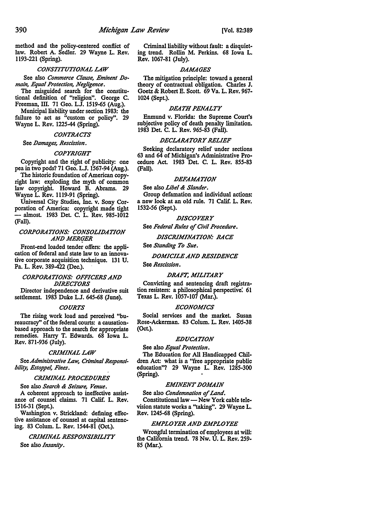method and the policy-centered conflict of law. Robert A. Sedler. 29 Wayne L. Rev. 1193-221 (Spring).

#### *CONSTITUTIONAL LAW*

See also *Commerce Clause, Eminent Domain, Equal Protection, Negligence.* 

The misguided search for the constitutional definition of "religion". George C. Freeman, III. 71 Geo. LJ. 1519-65 (Aug.).

Municipal liability under section 1983: the failure to act as "custom or policy". 29 Wayne L. Rev. 1225-44 (Spring).

#### *CONTRACTS*

See *Damages, Rescission.* 

#### *COPYRIGHT*

Copyright and the right of publicity: one pea in two pods? 71 Geo. LJ. 1567-94 (Aug.).

The historic foundation of American copyright law: exploding the myth of common law copyright. Howard B. Abrams. 29 Wayne L. Rev. lll9-91 (Spring).

Universal City Studies, Inc. v. Sony Corporation of America: copyright made tight - almost. 1983 Det. C. L. Rev. 985-1012 (Fall).

### *CORPORATIONS: CONSOLIDATION AND MERGER*

Front-end loaded tender offers: the application of federal and state law to an innovative corporate acquisition technique. 131 U. Pa. L. Rev. 389-422 (Dec.).

### *CORPORATIONS: OFFICERS AND DIRECTORS*

Director independence and derivative suit settlement. 1983 Duke LJ. 645-68 (June).

#### *COURTS*

The rising work load and perceived "bureaucracy'' of the federal courts: a causationbased approach to the search for appropriate remedies. Harry T. Edwards. 68 Iowa L. Rev. 871-936 (July).

#### *CRIMINAL LAW*

See *Administrative* Law, *Criminal Responsibility, Estoppel, Fines.* 

#### *CRIMINAL PROCEDURES*

See also *Search & Seizure, Venue.* 

A coherent approach to ineffective assistance of counsel claims. 71 Calif. L. **Rev.**  1516-31 (Sept.).

Washington v. Strickland: defining effective assistance of counsel at capital sentencing. 83 Colum. L. Rev. 1544-81 (Oct.).

## *CRIMINAL RESPONSIBILITY*

See also *Insanity.* 

Criminal liability without fault: a disquieting trend. Rollin M. Perkins. 68 Iowa L. Rev. 1067-81 (July).

## *DAMAGES*

The mitigation principle: toward a general theory of contractual obligation. Charles J. Goetz & Robert E. Scott. 69 Va. L. Rev. 967- 1024 (Sept.).

#### *DEATH PENALTY*

Enmund v. Florida: the Supreme Court's subjective policy of death penalty limitation. 1983 Det. C. L. Rev. 965-83 (Fall).

#### *DECLARATORY RELIEF*

Seeking declaratory relief under sections 63 and 64 of Michigan's Administrative Procedure Act. 1983 Del. C. L. Rev. 855-83 (Fall).

## *DEFAMATION*

See also *Libel & Slander.* 

Group defamation and individual actions: a new look at an old rule. 71 Calif. L. Rev. 1532-56 (Sept.).

## *DISCOVERY*

See *Federal Rules of Civil Procedure.* 

*DISCRIMINATION: RACE* 

See *Standing To Sue.* 

## *DOMICILE AND RESIDENCE*  See *Rescission.*

#### *DRAFT, MILITARY*

Convicting and sentencing draft registration resisters: a philosophical perspective: 61 Texas L. Rev. 1057-107 (Mar.).

#### *ECONOMICS*

Social services and the market. Susan Rose-Ackerman. 83 Colum. L. Rev. 1405-38 (Oct.).

#### *EDUCATION*

See also *Equal Protection.* 

The Education for All Handicapped Children Act: what is a "free appropriate public education"? 29 Wayne L. Rev. 1285-300 (Spring).

#### *EMINENT DOMAIN*

See also *Condemnation of Land.* 

Constitutional law - New York cable television statute works a ''taking". 29 Wayne L. Rev. 1245-68 (Spring).

## *EMPLOYER AND EMPLOYEE*

Wrongful termination of employees at will: the California trend. 78 Nw. U. L. Rev. 259- 85 (Mar.).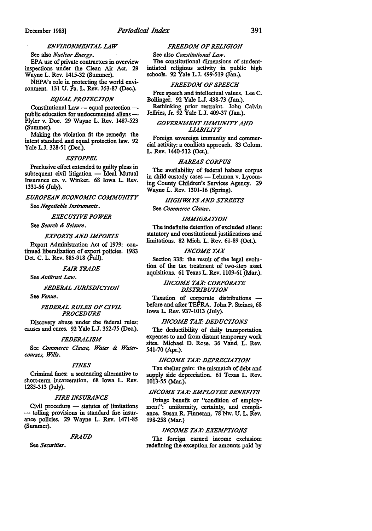## *ENVIRONMENTAL LAW*

See also *Nuclear Energy.*  EPA use of private contractors in overview inspections under the Clean Air Act. 29 Wayne L. Rev. 1415-32 (Summer).

NEPA's role in protecting the world environment. 131 U. Pa. L. Rev. 353-87 (Dec.).

#### *EQUAL PROTECTION*

Constitutional Law  $-$  equal protection  $$ public education for undocumented aliens -Plyler v. Doe. 29 Wayne L. Rev. 1487-523 (Summer).

Making the violation fit the remedy: the intent standard and equal protection law. 92 Yale LJ. 328-51 (Dec.).

#### *£STOPPEL*

Preclusive effect extended to guilty pleas in subsequent civil litigation - Ideal Mutual Insurance co. v. Winker. 68 Iowa L. Rev. 1331-56 (July).

#### *EUROPEAN ECONOMIC COMMUNITY*

See *Negotiable Instruments.* 

## *EXECUTIVE POWER*

See *Search & Seizure.* 

## *EXPORTS AND IMPORTS*

Export Administration Act of 1979: continued liberalization of export policies. 1983 Det. C. L. Rev. 885-918 (Fall).

#### *FAIR TRADE*

See *Antitrust Law.* 

## *FEDERAL JURISDICTION*

See *Venue.* 

*FEDERAL RULES OF CIVIL PROCEDURE* 

Discovery abuse under the federal rules: causes and cures. 92 Yale LJ. 352-75 (Dec.).

#### *FEDERALISM*

See *Commerce Clause, Water & Watercourses, Wills.* 

#### *FINES*

Criminal fines: a sentencing alternative to short-term incarceration. 68 Iowa L. Rev. 1285-313 (July).

## *FIRE INSURANCE*

Civil procedure - statutes of limitations - tolling provisions in standard fire insurance policies. 29 Wayne L. Rev. 1471-85 (Summer).

## *FRAUD*

See *Securities.* 

## *FREEDOM OF RELIGION*

**See** also *Constitutional Law.*  The constitutional dimensions of studentintiated religious activity in public high schools. 92 Yale L.J. 499-519 (Jan.).

#### *FREEDOM OF SPEECH*

Free speech and intellectual values. Lee C. Bollinger. 92 Yale L.J. 438-73 (Jan.).

Rethinking prior restraint. John Calvin Jeffries, Jr. 92 Yale L.J. 409-37 (Jan.).

## *GOVERNMENT IMMUNITY AND LIABILITY*

Foreign sovereign immunity and commercial activity: a conflicts approach. 83 Colum. L. Rev. 1440-512 (Oct.).

#### *HABEAS CORPUS*

The availability of federal habeas corpus in child custody cases - Lehman v. Lycoming County Children's Services Agency. 29 Wayne L. Rev. 1301-16 (Spring).

*HIGHWA. YS AND STREETS* 

See *Commerce Clause.* 

#### *IMMIGRATION*

The indefinite detention of excluded aliens: statutory and constitutional justifications and limitations. 82 Mich. L. Rev. 61-89 (Oct.).

#### *INCOME TAX*

Section 338: the result of the legal evolution of the tax treatment of two-step asset aquisitions. 61 Texas L. Rev. 1109-61 (Mar.).

## *INCOME TAX: CORPORATE DISTRIBUTION*

Taxation of corporate distributions before and after TEFRA. John P. Steines, 68 Iowa L. Rev. 937-1013 (July).

## *INCOME TAX: DEDUCTIONS*

The deductibility of daily transportation expenses to and from distant temporary work sites. Michael D. Rose. 36 Vand. L. Rev. 541-70 (Apr.).

#### *INCOME TAX· DEPRECIATION*

Tax shelter gain: the mismatch of debt and supply side depreciation. 61 Texas L. Rev. 1013-55 (Mar.).

#### *INCOME TAX· EMPLOYEE BENEFITS*

Fringe benefit or "condition of employment": uniformity, certainty, and compliance. Susan R. Finneran, 78 Nw. U. L. Rev. 198-258 (Mar.)

#### *INCOME TAX· EXEMPTIONS*

The foreign earned income exclusion: redefining the exception for amounts paid by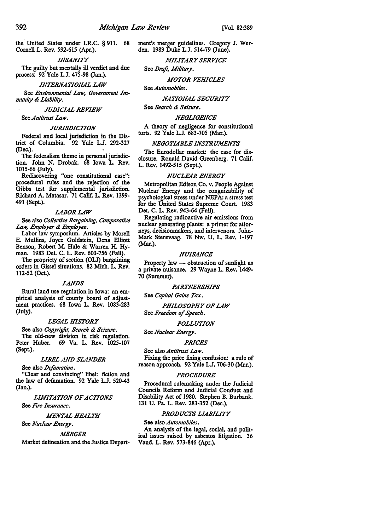the United States under I.R.C. § 911. 68 Cornell L. Rev. 592-615 (Apr.).

*INSANITY* 

The guilty but mentally ill verdict and due process: 92 Yale L.J. 475-98 (Jan.).

*INTERNATIONAL LAW* 

See *Environmental Law, Government Immunity & Liability.* 

#### *JUDICIAL REVIEW*

*SeeAntitrust Law.* 

## *JURISDICTION*

Federal and local jurisdiction in the Dis• trict of Columbia. 92 Yale LJ. 292-327 (Dec.).

The federalism theme in personal jurisdiction. John N. Drobak. 68 Iowa L. Rev. 1015-66 (July).

Rediscovering "one constitutional **case":**  procedural rules and the rejection of the Gibbs test for supplemental jurisdiction. Richard A. Matasar. 71 Calif. L. **Rev.** 1399- 491 (Sept.).

#### *LABORLAW*

See also *Collective Bargaining, Comparative Law, Employer & Employee.* 

Labor law symposium. Articles by Morell E. Mullins, Joyce Goldstein, Dena Elliott Benson, Robert M. Hale & Warren H. Hyman. 1983 Det. C. L. Rev. 603-756 (Fall).

The propriety of section (OLJ) bargaining orders in Gissel situations. 82 Mich. L. Rev. 112-52 (Oct).

#### *LANDS*

Rural land use regulation in Iowa: an empirical analysis of county board of adjustment practices. 68 Iowa L. Rev. 1083-283 (July).

## *LEGAL HISTORY*

See also *Copyright, Search & Seizure.*  The old-new division in risk regulation. Peter Huber. 69 Va. L. Rev. 1025-107 (Sept.).

## *LIBEL AND SLANDER*

See also *Defamation.* 

"Clear and convincing" libel: fiction and the law of defamation. 92 Yale LJ. 520-43 (Jan.).

*LIMITATION OF ACTIONS* 

See *Fire Insurance.* 

#### *MENTAL HEALTH*

See *Nuclear Energy.* 

#### *MERGER*

Market delineation and the Justice Depart•

ment's merger guidelines. Gregory J. Werden. 1983 Duke L.J. 514-79 (June).

## *MILITARY SERVICE*

See *Dreft, Military.* 

## *MOTOR VEHICLES*

**See** *Automobiles.* 

## *NATIONAL SECURITY*

**Sec** *Search & Seizure.* 

#### *NEGLIGENCE*

A theory of negligence for constitutional torts. 92 Yale L.J. 683-705 (Mar.).

## *NEGOTIABLE INSTRUMENTS*

The Eurodollar market: the case for disclosure. Ronald David Greenberg. 71 Calif. L. Rev. 1492-515 (Sept.).

#### *NUCLEAR ENERGY*

Metropolitan Edison Co. v. People Against Nuclear Energy and the congnizability of psychological stress under NEPA: a stress test for the United States Supreme Court. 1983 Del C. L. Rev. 943-64 (Fall).

Regulating radioactive air emissions from nuclear generating plants: a primer for attorneys, decisionmakers, and intervenors. John-Mark Stensvaag. 78 Nw. U. L. Rev. 1-197 (Mar.).

#### *NUISANCE*

Property law - obstruction of sunlight as a private nuisance. 29 Wayne L. Rev. 1449- 70 (Summer).

#### *PARTNERSHIPS*

See *Capital Gains Tax.* 

*PHILOSOPHY OF LAW* 

## See *Freedom of Speech.*

## *POLLUTION*

See *Nuclear Energy.* 

## *PRICES*

**See** also *Antitrust Law.* 

Fixing the price fixing confusion: a rule of reason approach. 92 Yale L.J. 706-30 (Mar.).

### *PROCEDURE*

Procedural rulemaking under the Judicial Councils Reform and Judicial Conduct and Disability Act of 1980. Stephen B. Burbank. 131 U. Pa. L. Rev. 283-352 (Dec.).

## *PRODUCTS LIABILITY*

**See** also *Automobiles.*  An analysis of the legal, social, and political issues raised by asbestos litigation. 36 Vand. L. Rev. 573-846 (Apr.).